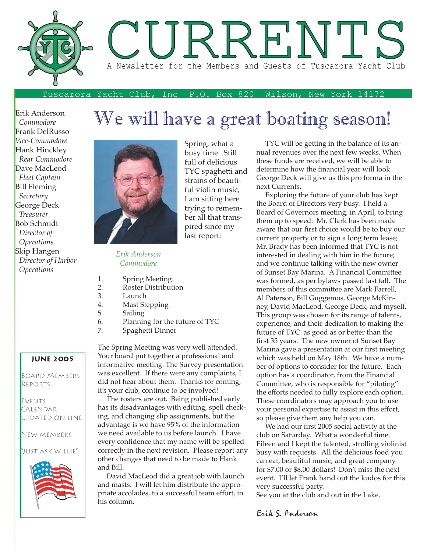

Spring, what a busy time. Still full of delicious TYC spaghetti and strains of beautiful violin music, I am sitting here trying to remember all that transpired since my last report:

#### Tuscarora Yacht Club, Inc P.O. Box 820 Wilson, New York 14172

Erik Anderson  *Commodore* Frank DelRusso *Vice-Commodore* Hank Hinckley  *Rear Commodore* Dave MacLeod  *Fleet Captain* Bill Fleming  *Secretary* George Deck  *Treasurer* Bob Schmidt  *Director of Operations* Skip Hangen  *Director of Harbor Operations*

# We will have a great boating season!



*Erik Anderson Commodore*

- 1. Spring Meeting
- 2. Roster Distribution
- 3. Launch
- 4. Mast Stepping
- 5. Sailing
- 6. Planning for the future of TYC
- 7. Spaghetti Dinner

The Spring Meeting was very well attended. Your board put together a professional and informative meeting. The Survey presentation was excellent. If there were any complaints, I did not hear about them. Thanks for coming, it's your club, continue to be involved!

 The rosters are out. Being published early has its disadvantages with editing, spell checking, and changing slip assignments, but the advantage is we have 95% of the information we need available to us before launch. I have every confidence that my name will be spelled correctly in the next revision. Please report any other changes that need to be made to Hank and Bill.

 David MacLeod did a great job with launch and masts. I will let him distribute the appropriate accolades, to a successful team effort, in his column.

TYC will be getting in the balance of its annual revenues over the next few weeks. When these funds are received, we will be able to determine how the financial year will look. George Deck will give us this pro forma in the next Currents.

 Exploring the future of your club has kept the Board of Directors very busy. I held a Board of Governors meeting, in April, to bring them up to speed: Mr. Clark has been made aware that our first choice would be to buy our current property or to sign a long term lease; Mr. Brady has been informed that TYC is not interested in dealing with him in the future; and we continue talking with the new owner of Sunset Bay Marina. A Financial Committee was formed, as per bylaws passed last fall. The members of this committee are Mark Farrell, Al Paterson, Bill Guggemos, George McKinney, David MacLeod, George Deck, and myself. This group was chosen for its range of talents, experience, and their dedication to making the future of TYC as good as or better than the first 35 years. The new owner of Sunset Bay Marina gave a presentation at our first meeting which was held on May 18th. We have a number of options to consider for the future. Each option has a coordinator, from the Financial Committee, who is responsible for "piloting" the efforts needed to fully explore each option. These coordinators may approach you to use your personal expertise to assist in this effort, so please give them any help you can.

We had our first 2005 social activity at the club on Saturday. What a wonderful time. Eileen and I kept the talented, strolling violinist busy with requests. All the delicious food you can eat, beautiful music, and great company for \$7.00 or \$8.00 dollars! Don't miss the next event. I'll let Frank hand out the kudos for this very successful party.

See you at the club and out in the Lake.

Erik S. Anderson

#### **JUNE 2005**

Board Members Reports

**EVENTS CALENDAR** updated on line

New members

"just ask willie"

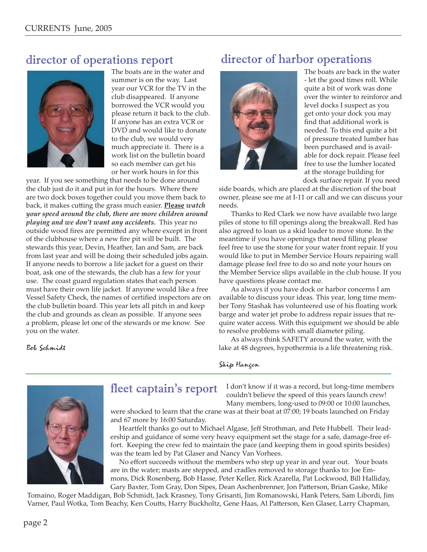### director of operations report



The boats are in the water and summer is on the way. Last year our VCR for the TV in the club disappeared. If anyone borrowed the VCR would you please return it back to the club. If anyone has an extra VCR or DVD and would like to donate to the club, we would very much appreciate it. There is a work list on the bulletin board so each member can get his or her work hours in for this

year. If you see something that needs to be done around the club just do it and put in for the hours. Where there are two dock boxes together could you move them back to back, it makes cutting the grass much easier. <u>Please</u> watch *your speed around the club, there are more children around playing and we don't want any accidents.* This year no outside wood fires are permitted any where except in front of the clubhouse where a new fire pit will be built. The stewards this year, Devin, Heather, Ian and Sam, are back from last year and will be doing their scheduled jobs again. If anyone needs to borrow a life jacket for a guest on their boat, ask one of the stewards, the club has a few for your use. The coast guard regulation states that each person must have their own life jacket. If anyone would like a free Vessel Safety Check, the names of certified inspectors are on the club bulletin board. This year lets all pitch in and keep the club and grounds as clean as possible. If anyone sees a problem, please let one of the stewards or me know. See you on the water.

Bob Schmidt

## director of harbor operations



The boats are back in the water - let the good times roll. While quite a bit of work was done over the winter to reinforce and level docks I suspect as you get onto your dock you may find that additional work is needed. To this end quite a bit of pressure treated lumber has been purchased and is available for dock repair. Please feel free to use the lumber located at the storage building for dock surface repair. If you need

side boards, which are placed at the discretion of the boat owner, please see me at I-11 or call and we can discuss your needs.

 Thanks to Red Clark we now have available two large piles of stone to fill openings along the breakwall. Red has also agreed to loan us a skid loader to move stone. In the meantime if you have openings that need filling please feel free to use the stone for your water front repair. If you would like to put in Member Service Hours repairing wall damage please feel free to do so and note your hours on the Member Service slips available in the club house. If you have questions please contact me.

 As always if you have dock or harbor concerns I am available to discuss your ideas. This year, long time member Tony Stashak has volunteered use of his floating work barge and water jet probe to address repair issues that require water access. With this equipment we should be able to resolve problems with small diameter piling.

 As always think SAFETY around the water, with the lake at 48 degrees, hypothermia is a life threatening risk.



### fleet captain's report

I don't know if it was a record, but long-time members couldn't believe the speed of this years launch crew! Many members, long-used to 09:00 or 10:00 launches,

were shocked to learn that the crane was at their boat at 07:00; 19 boats launched on Friday and 67 more by 16:00 Saturday.

Skip Hangen

 Heartfelt thanks go out to Michael Algase, Jeff Strothman, and Pete Hubbell. Their leadership and guidance of some very heavy equipment set the stage for a safe, damage-free effort. Keeping the crew fed to maintain the pace (and keeping them in good spirits besides) was the team led by Pat Glaser and Nancy Van Vorhees.

No effort succeeds without the members who step up year in and year out. Your boats are in the water; masts are stepped, and cradles removed to storage thanks to: Joe Emmons, Dick Rosenberg, Bob Hasse, Peter Keller, Rick Azarella, Pat Lockwood, Bill Halliday,

Gary Baxter, Tom Gray, Don Sipes, Dean Aschenbrenner, Jon Patterson, Brian Gaske, Mike Tomaino, Roger Maddigan, Bob Schmidt, Jack Krasney, Tony Grisanti, Jim Romanowski, Hank Peters, Sam Libordi, Jim Varner, Paul Wotka, Tom Beachy, Ken Coutts, Harry Buckholtz, Gene Haas, Al Patterson, Ken Glaser, Larry Chapman,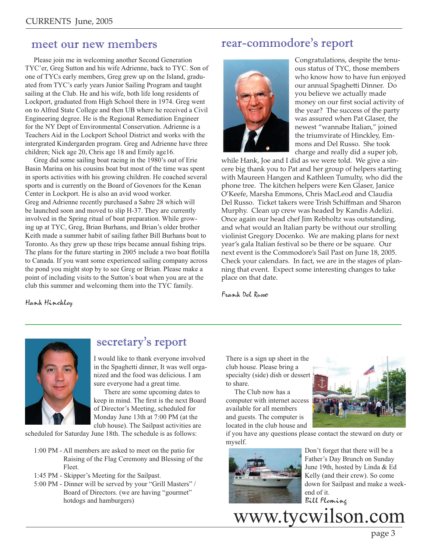#### meet our new members

 Please join me in welcoming another Second Generation TYC'er, Greg Sutton and his wife Adrienne, back to TYC. Son of one of TYCs early members, Greg grew up on the Island, graduated from TYC's early years Junior Sailing Program and taught sailing at the Club. He and his wife, both life long residents of Lockport, graduated from High School there in 1974. Greg went on to Alfred State College and then UB where he received a Civil Engineering degree. He is the Regional Remediation Engineer for the NY Dept of Environmental Conservation. Adrienne is a Teachers Aid in the Lockport School District and works with the intergrated Kindergarden program. Greg and Adrienne have three children; Nick age 20, Chris age 18 and Emily age16.

 Greg did some sailing boat racing in the 1980's out of Erie Basin Marina on his cousins boat but most of the time was spent in sports activities with his growing children. He coached several sports and is currently on the Board of Govenors for the Kenan Center in Lockport. He is also an avid wood worker. Greg and Adrienne recently purchased a Sabre 28 which will be launched soon and moved to slip H-37. They are currently involved in the Spring ritual of boat preparation. While growing up at TYC, Greg, Brian Burhans, and Brian's older brother Keith made a summer habit of sailing father Bill Burhans boat to Toronto. As they grew up these trips became annual fishing trips. The plans for the future starting in 2005 include a two boat flotilla to Canada. If you want some experienced sailing company across the pond you might stop by to see Greg or Brian. Please make a point of including visits to the Sutton's boat when you are at the club this summer and welcoming them into the TYC family.

#### rear-commodore's report



Congratulations, despite the tenuous status of TYC, those members who know how to have fun enjoyed our annual Spaghetti Dinner. Do you believe we actually made money on our first social activity of the year? The success of the party was assured when Pat Glaser, the newest "wannabe Italian," joined the triumvirate of Hinckley, Emmons and Del Russo. She took charge and really did a super job,

while Hank, Joe and I did as we were told. We give a sincere big thank you to Pat and her group of helpers starting with Maureen Hangen and Kathleen Tumulty, who did the phone tree. The kitchen helpers were Ken Glaser, Janice O'Keefe, Marsha Emmons, Chris MacLeod and Claudia Del Russo. Ticket takers were Trish Schiffman and Sharon Murphy. Clean up crew was headed by Kandis Adelizi. Once again our head chef Jim Rebholtz was outstanding, and what would an Italian party be without our strolling violinist Gregory Docenko. We are making plans for next year's gala Italian festival so be there or be square. Our next event is the Commodore's Sail Past on June 18, 2005. Check your calendars. In fact, we are in the stages of planning that event. Expect some interesting changes to take place on that date.

Frank Del Russo

Hank Hinckley



### secretary's report

I would like to thank everyone involved in the Spaghetti dinner, It was well organized and the food was delicious. I am sure everyone had a great time.

 There are some upcoming dates to keep in mind. The first is the next Board of Director's Meeting, scheduled for Monday June 13th at 7:00 PM (at the club house). The Sailpast activities are

scheduled for Saturday June 18th. The schedule is as follows:

- 1:00 PM All members are asked to meet on the patio for Raising of the Flag Ceremony and Blessing of the Fleet.
- 1:45 PM Skipper's Meeting for the Sailpast.
- 5:00 PM Dinner will be served by your "Grill Masters" / Board of Directors. (we are having "gourmet" hotdogs and hamburgers)

There is a sign up sheet in the club house. Please bring a specialty (side) dish or dessert to share.

 The Club now has a computer with internet access available for all members and guests. The computer is located in the club house and



if you have any questions please contact the steward on duty or myself.



 Don't forget that there will be a Father's Day Brunch on Sunday June 19th, hosted by Linda & Ed Kelly (and their crew). So come down for Sailpast and make a weekend of it. Bill Fleming

www.tycwilson.com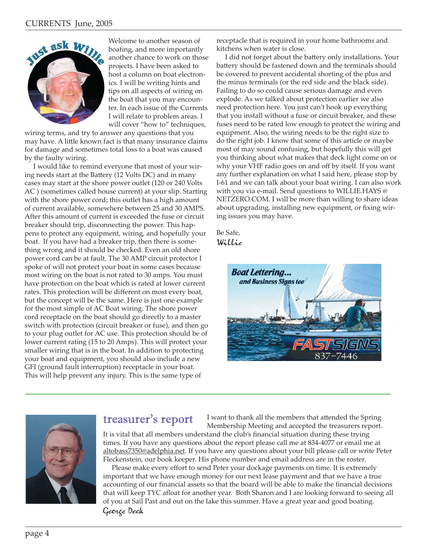

**ASK WELL** Welcome to another season of boating, and more importantly another chance to work on those projects. I have been asked to host a column on boat electronics. I will be writing hints and tips on all aspects of wiring on the boat that you may encounter. In each issue of the Currents I will relate to problem areas. I will cover "how to" techniques,

wiring terms, and try to answer any questions that you may have. A little known fact is that many insurance claims for damage and sometimes total loss to a boat was caused by the faulty wiring.

 I would like to remind everyone that most of your wiring needs start at the Battery (12 Volts DC) and in many cases may start at the shore power outlet (120 or 240 Volts AC ) (sometimes called house current) at your slip. Starting with the shore power cord; this outlet has a high amount of current available, somewhere between 25 and 30 AMPS. After this amount of current is exceeded the fuse or circuit breaker should trip, disconnecting the power. This happens to protect any equipment, wiring, and hopefully your boat. If you have had a breaker trip, then there is something wrong and it should be checked. Even an old shore power cord can be at fault. The 30 AMP circuit protector I spoke of will not protect your boat in some cases because most wiring on the boat is not rated to 30 amps. You must have protection on the boat which is rated at lower current rates. This protection will be different on most every boat, but the concept will be the same. Here is just one example for the most simple of AC Boat wiring. The shore power cord receptacle on the boat should go directly to a master switch with protection (circuit breaker or fuse), and then go to your plug outlet for AC use. This protection should be of lower current rating (15 to 20 Amps). This will protect your smaller wiring that is in the boat. In addition to protecting your boat and equipment, you should also include a new GFI (ground fault interruption) receptacle in your boat. This will help prevent any injury. This is the same type of

receptacle that is required in your home bathrooms and kitchens when water is close.

I did not forget about the battery only installations. Your battery should be fastened down and the terminals should be covered to prevent accidental shorting of the plus and the minus terminals (or the red side and the black side). Failing to do so could cause serious damage and even explode. As we talked about protection earlier we also need protection here. You just can't hook up everything that you install without a fuse or circuit breaker, and these fuses need to be rated low enough to protect the wiring and equipment. Also, the wiring needs to be the right size to do the right job. I know that some of this article or maybe most of may sound confusing, but hopefully this will get you thinking about what makes that deck light come on or why your VHF radio goes on and off by itself. If you want any further explanation on what I said here, please stop by I-61 and we can talk about your boat wiring. I can also work with you via e-mail. Send questions to WILLIE.HAYS @ NETZERO.COM. I will be more than willing to share ideas about upgrading, installing new equipment, or fixing wiring issues you may have.

#### Be Safe, Willie





#### treasurer's report

I want to thank all the members that attended the Spring Membership Meeting and accepted the treasurers report.

It is vital that all members understand the club's financial situation during these trying times. If you have any questions about the report please call me at 834-4077 or email me at altobass7350@adelphia.net. If you have any questions about your bill please call or write Peter Fleckenstein, our book keeper. His phone number and email address are in the roster.

Please make every effort to send Peter your dockage payments on time. It is extremely important that we have enough money for our next lease payment and that we have a true accounting of our financial assets so that the board will be able to make the financial decisions that will keep TYC afloat for another year. Both Sharon and I are looking forward to seeing all of you at Sail Past and out on the lake this summer. Have a great year and good boating. George Deck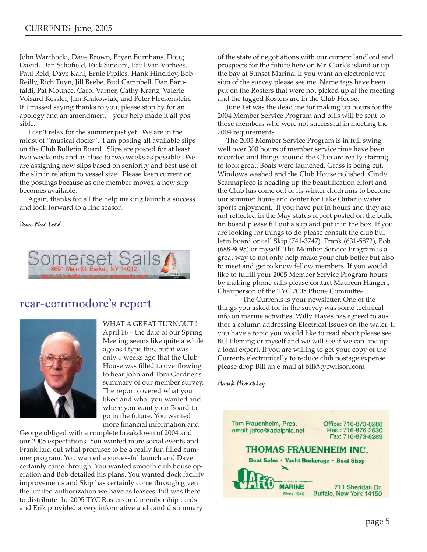John Warchocki, Dave Brown, Bryan Burnhans, Doug David, Dan Schofield, Rick Sindoni, Paul Van Vorhees, Paul Reid, Dave Kahl, Ernie Pipiles, Hank Hinckley, Bob Reilly, Rich Tuyn, Jill Beebe, Bud Campbell, Dan Barufaldi, Pat Mounce, Carol Varner, Cathy Kranz, Valerie Voisard Kessler, Jim Krakowiak, and Peter Fleckenstein. If I missed saying thanks to you, please stop by for an apology and an amendment – your help made it all possible.

 I can't relax for the summer just yet. We are in the midst of "musical docks". I am posting all available slips on the Club Bulletin Board. Slips are posted for at least two weekends and as close to two weeks as possible. We are assigning new slips based on seniority and best use of the slip in relation to vessel size. Please keep current on the postings because as one member moves, a new slip becomes available.

 Again, thanks for all the help making launch a success and look forward to a fine season.

Dave Mac Leod



#### rear-commodore's report



WHAT A GREAT TURNOUT!! April 16 – the date of our Spring Meeting seems like quite a while ago as I type this, but it was only 5 weeks ago that the Club House was filled to overflowing to hear John and Toni Gardner's summary of our member survey. The report covered what you liked and what you wanted and where you want your Board to go in the future. You wanted more financial information and

George obliged with a complete breakdown of 2004 and our 2005 expectations. You wanted more social events and Frank laid out what promises to be a really fun filled summer program. You wanted a successful launch and Dave certainly came through. You wanted smooth club house operation and Bob detailed his plans. You wanted dock facility improvements and Skip has certainly come through given the limited authorization we have as leasees. Bill was there to distribute the 2005 TYC Rosters and membership cards and Erik provided a very informative and candid summary

of the state of negotiations with our current landlord and prospects for the future here on Mr. Clark's island or up the bay at Sunset Marina. If you want an electronic version of the survey please see me. Name tags have been put on the Rosters that were not picked up at the meeting and the tagged Rosters are in the Club House.

 June 1st was the deadline for making up hours for the 2004 Member Service Program and bills will be sent to those members who were not successful in meeting the 2004 requirements.

 The 2005 Member Service Program is in full swing, well over 300 hours of member service time have been recorded and things around the Club are really starting to look great. Boats were launched. Grass is being cut. Windows washed and the Club House polished. Cindy Scannapieco is heading up the beautification effort and the Club has come out of its winter doldrums to become our summer home and center for Lake Ontario water sports enjoyment. If you have put in hours and they are not reflected in the May status report posted on the bulletin board please fill out a slip and put it in the box. If you are looking for things to do please consult the club bulletin board or call Skip (741-3747), Frank (631-5872), Bob (688-8095) or myself. The Member Service Program is a great way to not only help make your club better but also to meet and get to know fellow members. If you would like to fulfill your 2005 Member Service Program hours by making phone calls please contact Maureen Hangen, Chairperson of the TYC 2005 Phone Committee.

The Currents is your newsletter. One of the things you asked for in the survey was some technical info on marine activities. Willy Hayes has agreed to author a column addressing Electrical Issues on the water. If you have a topic you would like to read about please see Bill Fleming or myself and we will see if we can line up a local expert. If you are willing to get your copy of the Currents electronically to reduce club postage expense please drop Bill an e-mail at bill@tycwilson.com

Hank Hinckley